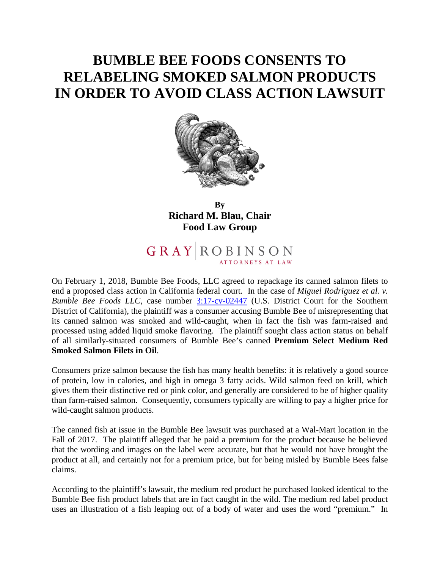## **BUMBLE BEE FOODS CONSENTS TO RELABELING SMOKED SALMON PRODUCTS IN ORDER TO AVOID CLASS ACTION LAWSUIT**



**By Richard M. Blau, Chair Food Law Group** 

## 

On February 1, 2018, Bumble Bee Foods, LLC agreed to repackage its canned salmon filets to end a proposed class action in California federal court. In the case of *Miguel Rodriguez et al. v. Bumble Bee Foods LLC*, case number [3:17-cv-02447](https://www.law360.com/dockets/5a73963ed8bd7118c5000017) (U.S. District Court for the Southern District of California), the plaintiff was a consumer accusing Bumble Bee of misrepresenting that its canned salmon was smoked and wild-caught, when in fact the fish was farm-raised and processed using added liquid smoke flavoring. The plaintiff sought class action status on behalf of all similarly-situated consumers of Bumble Bee's canned **Premium Select Medium Red Smoked Salmon Filets in Oil**.

Consumers prize salmon because the fish has many health benefits: it is relatively a good source of protein, low in calories, and high in omega 3 fatty acids. Wild salmon feed on krill, which gives them their distinctive red or pink color, and generally are considered to be of higher quality than farm-raised salmon. Consequently, consumers typically are willing to pay a higher price for wild-caught salmon products.

The canned fish at issue in the Bumble Bee lawsuit was purchased at a Wal-Mart location in the Fall of 2017. The plaintiff alleged that he paid a premium for the product because he believed that the wording and images on the label were accurate, but that he would not have brought the product at all, and certainly not for a premium price, but for being misled by Bumble Bees false claims.

According to the plaintiff's lawsuit, the medium red product he purchased looked identical to the Bumble Bee fish product labels that are in fact caught in the wild. The medium red label product uses an illustration of a fish leaping out of a body of water and uses the word "premium." In